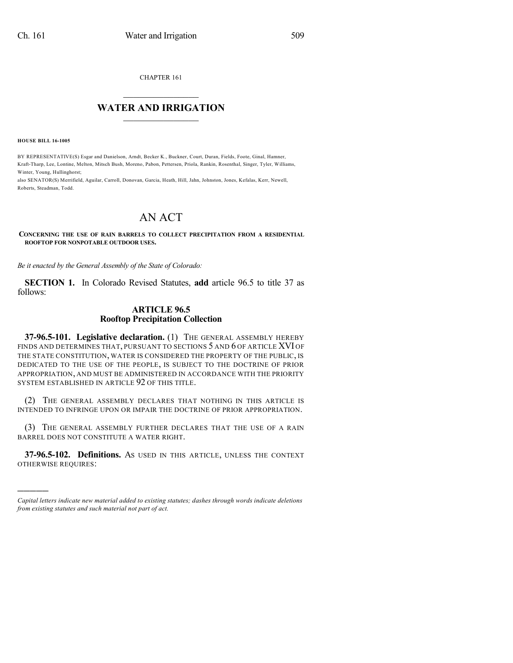CHAPTER 161

## $\overline{\phantom{a}}$  . The set of the set of the set of the set of the set of the set of the set of the set of the set of the set of the set of the set of the set of the set of the set of the set of the set of the set of the set o **WATER AND IRRIGATION**  $\_$   $\_$

**HOUSE BILL 16-1005**

)))))

BY REPRESENTATIVE(S) Esgar and Danielson, Arndt, Becker K., Buckner, Court, Duran, Fields, Foote, Ginal, Hamner, Kraft-Tharp, Lee, Lontine, Melton, Mitsch Bush, Moreno, Pabon, Pettersen, Priola, Rankin, Rosenthal, Singer, Tyler, Williams, Winter, Young, Hullinghorst;

also SENATOR(S) Merrifield, Aguilar, Carroll, Donovan, Garcia, Heath, Hill, Jahn, Johnston, Jones, Kefalas, Kerr, Newell, Roberts, Steadman, Todd.

## AN ACT

**CONCERNING THE USE OF RAIN BARRELS TO COLLECT PRECIPITATION FROM A RESIDENTIAL ROOFTOP FOR NONPOTABLE OUTDOOR USES.**

*Be it enacted by the General Assembly of the State of Colorado:*

**SECTION 1.** In Colorado Revised Statutes, **add** article 96.5 to title 37 as follows:

## **ARTICLE 96.5 Rooftop Precipitation Collection**

**37-96.5-101. Legislative declaration.** (1) THE GENERAL ASSEMBLY HEREBY FINDS AND DETERMINES THAT, PURSUANT TO SECTIONS 5 AND 6 OF ARTICLE XVI OF THE STATE CONSTITUTION, WATER IS CONSIDERED THE PROPERTY OF THE PUBLIC, IS DEDICATED TO THE USE OF THE PEOPLE, IS SUBJECT TO THE DOCTRINE OF PRIOR APPROPRIATION, AND MUST BE ADMINISTERED IN ACCORDANCE WITH THE PRIORITY SYSTEM ESTABLISHED IN ARTICLE 92 OF THIS TITLE.

(2) THE GENERAL ASSEMBLY DECLARES THAT NOTHING IN THIS ARTICLE IS INTENDED TO INFRINGE UPON OR IMPAIR THE DOCTRINE OF PRIOR APPROPRIATION.

(3) THE GENERAL ASSEMBLY FURTHER DECLARES THAT THE USE OF A RAIN BARREL DOES NOT CONSTITUTE A WATER RIGHT.

**37-96.5-102. Definitions.** AS USED IN THIS ARTICLE, UNLESS THE CONTEXT OTHERWISE REQUIRES:

*Capital letters indicate new material added to existing statutes; dashes through words indicate deletions from existing statutes and such material not part of act.*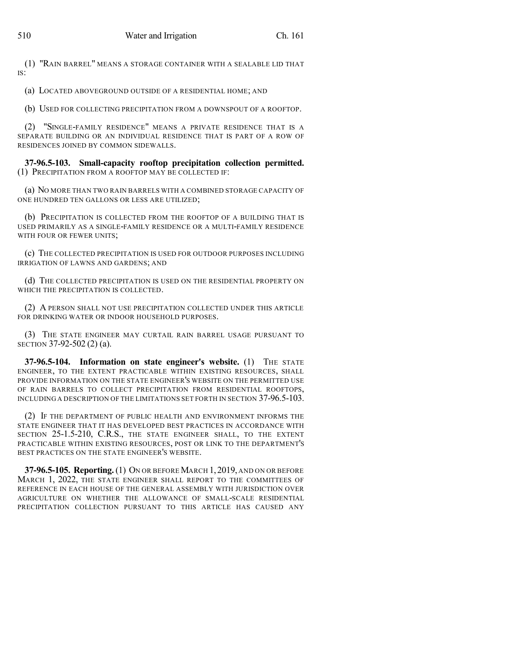(1) "RAIN BARREL" MEANS A STORAGE CONTAINER WITH A SEALABLE LID THAT IS:

(a) LOCATED ABOVEGROUND OUTSIDE OF A RESIDENTIAL HOME; AND

(b) USED FOR COLLECTING PRECIPITATION FROM A DOWNSPOUT OF A ROOFTOP.

(2) "SINGLE-FAMILY RESIDENCE" MEANS A PRIVATE RESIDENCE THAT IS A SEPARATE BUILDING OR AN INDIVIDUAL RESIDENCE THAT IS PART OF A ROW OF RESIDENCES JOINED BY COMMON SIDEWALLS.

**37-96.5-103. Small-capacity rooftop precipitation collection permitted.** (1) PRECIPITATION FROM A ROOFTOP MAY BE COLLECTED IF:

(a) NO MORE THAN TWO RAIN BARRELS WITH A COMBINED STORAGE CAPACITY OF ONE HUNDRED TEN GALLONS OR LESS ARE UTILIZED;

(b) PRECIPITATION IS COLLECTED FROM THE ROOFTOP OF A BUILDING THAT IS USED PRIMARILY AS A SINGLE-FAMILY RESIDENCE OR A MULTI-FAMILY RESIDENCE WITH FOUR OR FEWER UNITS;

(c) THE COLLECTED PRECIPITATION IS USED FOR OUTDOOR PURPOSES INCLUDING IRRIGATION OF LAWNS AND GARDENS; AND

(d) THE COLLECTED PRECIPITATION IS USED ON THE RESIDENTIAL PROPERTY ON WHICH THE PRECIPITATION IS COLLECTED.

(2) A PERSON SHALL NOT USE PRECIPITATION COLLECTED UNDER THIS ARTICLE FOR DRINKING WATER OR INDOOR HOUSEHOLD PURPOSES.

(3) THE STATE ENGINEER MAY CURTAIL RAIN BARREL USAGE PURSUANT TO SECTION 37-92-502 (2) (a).

**37-96.5-104. Information on state engineer's website.** (1) THE STATE ENGINEER, TO THE EXTENT PRACTICABLE WITHIN EXISTING RESOURCES, SHALL PROVIDE INFORMATION ON THE STATE ENGINEER'S WEBSITE ON THE PERMITTED USE OF RAIN BARRELS TO COLLECT PRECIPITATION FROM RESIDENTIAL ROOFTOPS, INCLUDING A DESCRIPTION OF THE LIMITATIONS SET FORTH IN SECTION 37-96.5-103.

(2) IF THE DEPARTMENT OF PUBLIC HEALTH AND ENVIRONMENT INFORMS THE STATE ENGINEER THAT IT HAS DEVELOPED BEST PRACTICES IN ACCORDANCE WITH SECTION 25-1.5-210, C.R.S., THE STATE ENGINEER SHALL, TO THE EXTENT PRACTICABLE WITHIN EXISTING RESOURCES, POST OR LINK TO THE DEPARTMENT'S BEST PRACTICES ON THE STATE ENGINEER'S WEBSITE.

**37-96.5-105. Reporting.**(1) ON OR BEFORE MARCH 1,2019, AND ON OR BEFORE MARCH 1, 2022, THE STATE ENGINEER SHALL REPORT TO THE COMMITTEES OF REFERENCE IN EACH HOUSE OF THE GENERAL ASSEMBLY WITH JURISDICTION OVER AGRICULTURE ON WHETHER THE ALLOWANCE OF SMALL-SCALE RESIDENTIAL PRECIPITATION COLLECTION PURSUANT TO THIS ARTICLE HAS CAUSED ANY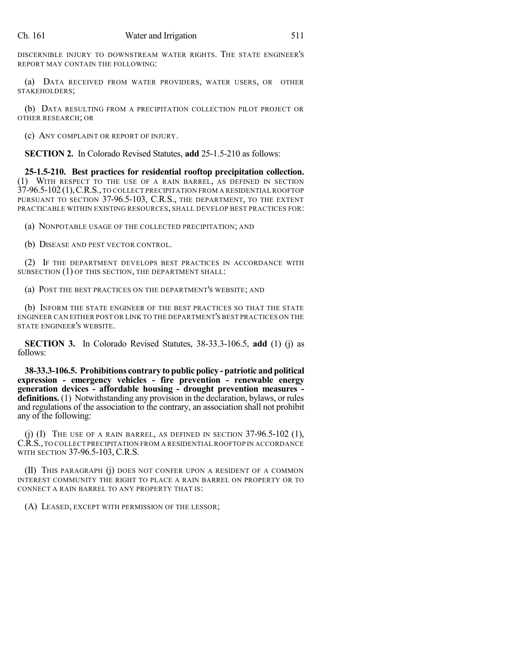DISCERNIBLE INJURY TO DOWNSTREAM WATER RIGHTS. THE STATE ENGINEER'S REPORT MAY CONTAIN THE FOLLOWING:

(a) DATA RECEIVED FROM WATER PROVIDERS, WATER USERS, OR OTHER STAKEHOLDERS;

(b) DATA RESULTING FROM A PRECIPITATION COLLECTION PILOT PROJECT OR OTHER RESEARCH; OR

(c) ANY COMPLAINT OR REPORT OF INJURY.

**SECTION 2.** In Colorado Revised Statutes, **add** 25-1.5-210 as follows:

**25-1.5-210. Best practices for residential rooftop precipitation collection.** (1) WITH RESPECT TO THE USE OF A RAIN BARREL, AS DEFINED IN SECTION 37-96.5-102 (1),C.R.S.,TO COLLECT PRECIPITATION FROM A RESIDENTIAL ROOFTOP PURSUANT TO SECTION 37-96.5-103, C.R.S., THE DEPARTMENT, TO THE EXTENT PRACTICABLE WITHIN EXISTING RESOURCES, SHALL DEVELOP BEST PRACTICES FOR:

(a) NONPOTABLE USAGE OF THE COLLECTED PRECIPITATION; AND

(b) DISEASE AND PEST VECTOR CONTROL.

(2) IF THE DEPARTMENT DEVELOPS BEST PRACTICES IN ACCORDANCE WITH SUBSECTION (1) OF THIS SECTION, THE DEPARTMENT SHALL:

(a) POST THE BEST PRACTICES ON THE DEPARTMENT'S WEBSITE; AND

(b) INFORM THE STATE ENGINEER OF THE BEST PRACTICES SO THAT THE STATE ENGINEER CAN EITHER POST OR LINK TO THE DEPARTMENT'S BEST PRACTICES ON THE STATE ENGINEER'S WEBSITE.

**SECTION 3.** In Colorado Revised Statutes, 38-33.3-106.5, **add** (1) (j) as follows:

**38-33.3-106.5. Prohibitions contrary to public policy - patriotic and political expression - emergency vehicles - fire prevention - renewable energy generation devices - affordable housing - drought prevention measures definitions.** (1) Notwithstanding any provision in the declaration, bylaws, or rules and regulations of the association to the contrary, an association shall not prohibit any of the following:

(i) (I) THE USE OF A RAIN BARREL, AS DEFINED IN SECTION  $37-96.5-102$  (1), C.R.S.,TO COLLECT PRECIPITATION FROM A RESIDENTIAL ROOFTOP IN ACCORDANCE WITH SECTION 37-96.5-103, C.R.S.

(II) THIS PARAGRAPH (j) DOES NOT CONFER UPON A RESIDENT OF A COMMON INTEREST COMMUNITY THE RIGHT TO PLACE A RAIN BARREL ON PROPERTY OR TO CONNECT A RAIN BARREL TO ANY PROPERTY THAT IS:

(A) LEASED, EXCEPT WITH PERMISSION OF THE LESSOR;